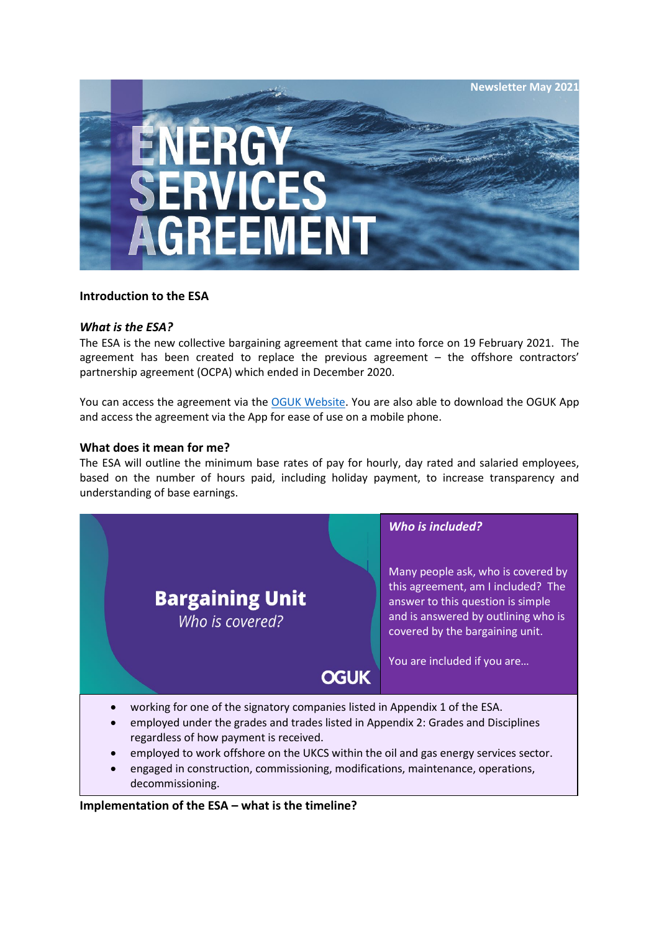

#### **Introduction to the ESA**

#### *What is the ESA?*

The ESA is the new collective bargaining agreement that came into force on 19 February 2021. The agreement has been created to replace the previous agreement – the offshore contractors' partnership agreement (OCPA) which ended in December 2020.

You can access the agreement via the [OGUK Website.](https://oguk.org.uk/product/energy-services-agreement/) You are also able to download the OGUK App and access the agreement via the App for ease of use on a mobile phone.

#### **What does it mean for me?**

The ESA will outline the minimum base rates of pay for hourly, day rated and salaried employees, based on the number of hours paid, including holiday payment, to increase transparency and understanding of base earnings.



#### **Implementation of the ESA – what is the timeline?**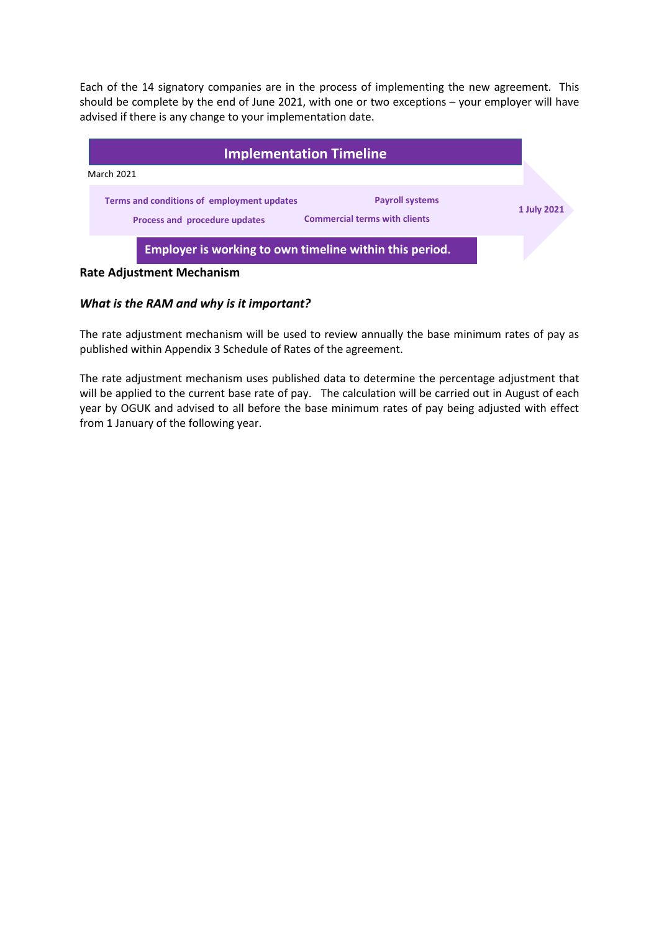Each of the 14 signatory companies are in the process of implementing the new agreement. This should be complete by the end of June 2021, with one or two exceptions – your employer will have advised if there is any change to your implementation date.



# *What is the RAM and why is it important?*

The rate adjustment mechanism will be used to review annually the base minimum rates of pay as published within Appendix 3 Schedule of Rates of the agreement.

The rate adjustment mechanism uses published data to determine the percentage adjustment that will be applied to the current base rate of pay. The calculation will be carried out in August of each year by OGUK and advised to all before the base minimum rates of pay being adjusted with effect from 1 January of the following year.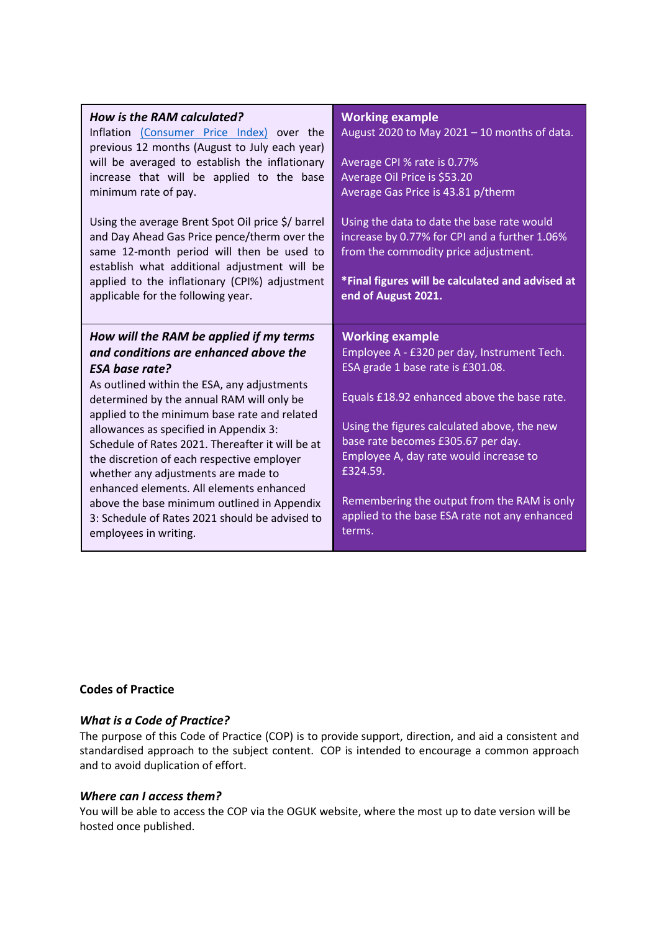| How is the RAM calculated?<br>Inflation (Consumer Price Index) over the<br>previous 12 months (August to July each year)<br>will be averaged to establish the inflationary<br>increase that will be applied to the base<br>minimum rate of pay.<br>Using the average Brent Spot Oil price \$/ barrel | <b>Working example</b><br>August 2020 to May 2021 - 10 months of data.<br>Average CPI % rate is 0.77%<br>Average Oil Price is \$53.20<br>Average Gas Price is 43.81 p/therm<br>Using the data to date the base rate would |
|------------------------------------------------------------------------------------------------------------------------------------------------------------------------------------------------------------------------------------------------------------------------------------------------------|---------------------------------------------------------------------------------------------------------------------------------------------------------------------------------------------------------------------------|
| and Day Ahead Gas Price pence/therm over the<br>same 12-month period will then be used to<br>establish what additional adjustment will be<br>applied to the inflationary (CPI%) adjustment<br>applicable for the following year.                                                                     | increase by 0.77% for CPI and a further 1.06%<br>from the commodity price adjustment.<br>*Final figures will be calculated and advised at<br>end of August 2021.                                                          |
| How will the RAM be applied if my terms                                                                                                                                                                                                                                                              | <b>Working example</b>                                                                                                                                                                                                    |
| and conditions are enhanced above the<br><b>ESA base rate?</b>                                                                                                                                                                                                                                       | Employee A - £320 per day, Instrument Tech.<br>ESA grade 1 base rate is £301.08.                                                                                                                                          |

# **Codes of Practice**

# *What is a Code of Practice?*

The purpose of this Code of Practice (COP) is to provide support, direction, and aid a consistent and standardised approach to the subject content. COP is intended to encourage a common approach and to avoid duplication of effort.

### *Where can I access them?*

You will be able to access the COP via the OGUK website, where the most up to date version will be hosted once published.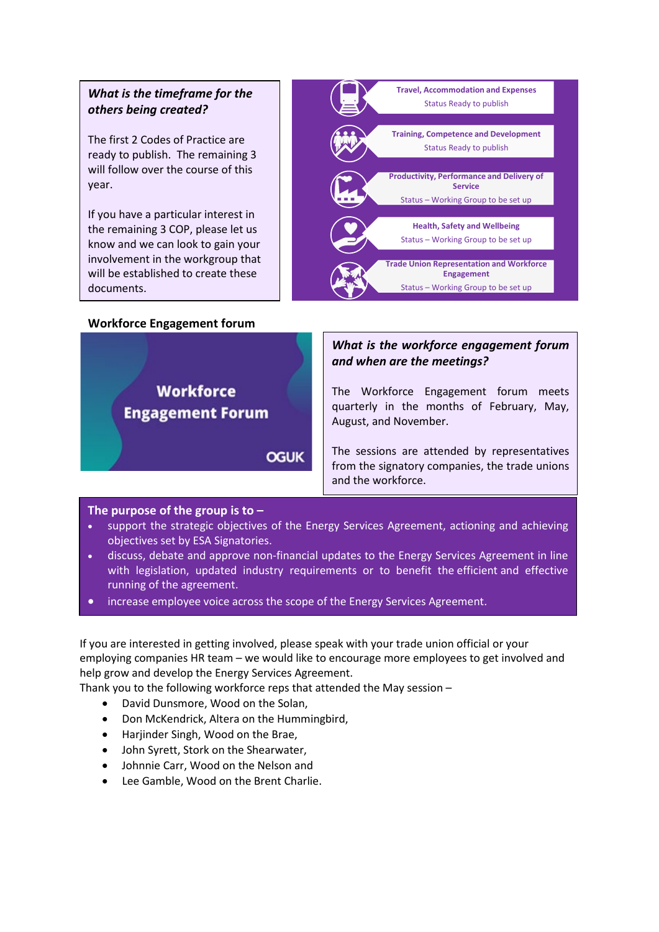# *What is the timeframe for the others being created?*

The first 2 Codes of Practice are ready to publish. The remaining 3 will follow over the course of this year.

If you have a particular interest in the remaining 3 COP, please let us know and we can look to gain your involvement in the workgroup that will be established to create these documents.

#### **Workforce Engagement forum**

**Workforce** 

**Engagement Forum** 

**Travel, Accommodation and Expenses** Status Ready to publish **Training, Competence and Development**  Status Ready to publish **Productivity, Performance and Delivery of Service** Status – Working Group to be set up **Health, Safety and Wellbeing** Status – Working Group to be set up **Trade Union Representation and Workforce Engagement** Status – Working Group to be set up

# *What is the workforce engagement forum and when are the meetings?*

The Workforce Engagement forum meets quarterly in the months of February, May, August, and November.

**OGUK** 

The sessions are attended by representatives from the signatory companies, the trade unions and the workforce.

### **The purpose of the group is to –**

- support the strategic objectives of the Energy Services Agreement, actioning and achieving objectives set by ESA Signatories.
- discuss, debate and approve non-financial updates to the Energy Services Agreement in line with legislation, updated industry requirements or to benefit the efficient and effective running of the agreement.
- increase employee voice across the scope of the Energy Services Agreement.

If you are interested in getting involved, please speak with your trade union official or your employing companies HR team – we would like to encourage more employees to get involved and help grow and develop the Energy Services Agreement.

Thank you to the following workforce reps that attended the May session –

- David Dunsmore, Wood on the Solan,
- Don McKendrick, Altera on the Hummingbird,
- Harjinder Singh, Wood on the Brae,
- John Syrett, Stork on the Shearwater,
- Johnnie Carr, Wood on the Nelson and
- Lee Gamble, Wood on the Brent Charlie.